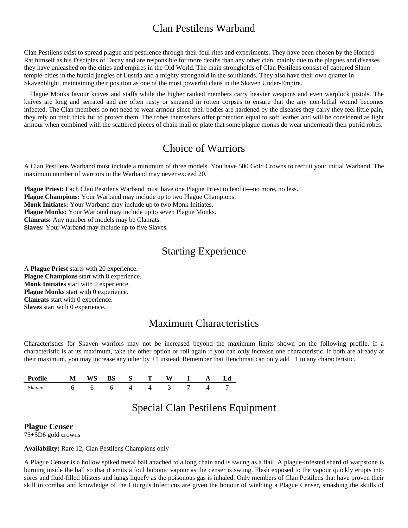## Clan Pestilens Warband

Clan Pestilens exist to spread plague and pestilence through their foul rites and experiments. They have been chosen by the Horned Rat himself as his Disciples of Decay and are responsible for more deaths than any other clan, mainly due to the plagues and diseases they have unleashed on the cities and empires in the Old World. The main strongholds of Clan Pestilens consist of captured Slann temple-cities in the humid jungles of Lustria and a mighty stronghold in the southlands. They also have their own quarter in Skavenblight, maintaining their position as one of the most powerful clans in the Skaven Under-Empire.

Plague Monks favour knives and staffs while the higher ranked members carry heavier weapons and even warplock pistols. The knives are long and serrated and are often rusty or smeared in rotten corpses to ensure that the any non-lethal wound becomes infected. The Clan members do not need to wear armour since their bodies are hardened by the diseases they carry they feel little pain, they rely on their thick fur to protect them. The robes themselves offer protection equal to soft leather and will be considered as light armour when combined with the scattered pieces of chain mail or plate that some plague monks do wear underneath their putrid robes.

## Choice of Warriors

A Clan Pestilens Warband must include a minimum of three models. You have 500 Gold Crowns to recruit your initial Warband. The maximum number of warriors in the Warband may never exceed 20.

**Plague Priest:** Each Clan Pestilens Warband must have one Plague Priest to lead it—no more, no less.

**Plague Champions:** Your Warband may include up to two Plague Champions.

**Monk Initiates:** Your Warband may include up to two Monk Initiates.

**Plague Monks:** Your Warband may include up to seven Plague Monks.

**Clanrats:** Any number of models may be Clanrats.

**Slaves:** Your Warband may include up to five Slaves.

## Starting Experience

A **Plague Priest** starts with 20 experience. **Plague Champions** start with 8 experience. **Monk Initiates** start with 0 experience. **Plague Monks** start with 0 experience. **Clanrats** start with 0 experience. **Slaves** start with 0 experience.

## Maximum Characteristics

Characteristics for Skaven warriors may not be increased beyond the maximum limits shown on the following profile. If a characteristic is at its maximum, take the other option or roll again if you can only increase one characteristic. If both are already at their maximum, you may increase any other by +1 instead. Remember that Henchman can only add +1 to any characteristic.

| Profile | -----<br>ັ | S. | m |  |  |
|---------|------------|----|---|--|--|
| Skaven  |            |    |   |  |  |

## Special Clan Pestilens Equipment

#### **Plague Censer**

75+5D6 gold crowns

**Availability:** Rare 12, Clan Pestilens Champions only

A Plague Censer is a hollow spiked metal ball attached to a long chain and is swung as a flail. A plague-infested shard of warpstone is burning inside the ball so that it emits a foul bubonic vapour as the censer is swung. Flesh exposed to the vapour quickly erupts into sores and fluid-filled blisters and lungs liquefy as the poisonous gas is inhaled. Only members of Clan Pestilens that have proven their skill in combat and knowledge of the Liturgus Infecticus are given the honour of wielding a Plague Censer, smashing the skulls of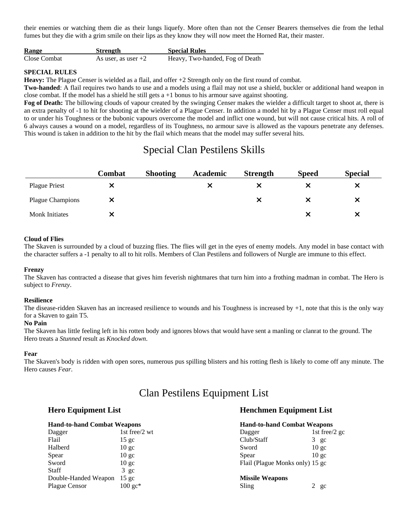their enemies or watching them die as their lungs liquefy. More often than not the Censer Bearers themselves die from the lethal fumes but they die with a grim smile on their lips as they know they will now meet the Horned Rat, their master.

| <b>Range</b> | Strength              | <b>Special Rules</b>            |
|--------------|-----------------------|---------------------------------|
| Close Combat | As user, as user $+2$ | Heavy, Two-handed, Fog of Death |

#### **SPECIAL RULES**

**Heavy:** The Plague Censer is wielded as a flail, and offer +2 Strength only on the first round of combat.

**Two-handed**: A flail requires two hands to use and a models using a flail may not use a shield, buckler or additional hand weapon in close combat. If the model has a shield he still gets  $a + 1$  bonus to his armour save against shooting.

**Fog of Death:** The billowing clouds of vapour created by the swinging Censer makes the wielder a difficult target to shoot at, there is an extra penalty of -1 to hit for shooting at the wielder of a Plague Censer. In addition a model hit by a Plague Censer must roll equal to or under his Toughness or the bubonic vapours overcome the model and inflict one wound, but will not cause critical hits. A roll of 6 always causes a wound on a model, regardless of its Toughness, no armour save is allowed as the vapours penetrate any defenses. This wound is taken in addition to the hit by the flail which means that the model may suffer several hits.

## Special Clan Pestilens Skills

|                         | Combat | <b>Shooting</b> | Academic | <b>Strength</b> | <b>Speed</b> | <b>Special</b> |
|-------------------------|--------|-----------------|----------|-----------------|--------------|----------------|
| <b>Plague Priest</b>    |        |                 |          |                 |              | X              |
| <b>Plague Champions</b> | x      |                 |          |                 |              | X              |
| <b>Monk Initiates</b>   |        |                 |          |                 |              |                |

#### **Cloud of Flies**

The Skaven is surrounded by a cloud of buzzing flies. The flies will get in the eyes of enemy models. Any model in base contact with the character suffers a -1 penalty to all to hit rolls. Members of Clan Pestilens and followers of Nurgle are immune to this effect.

#### **Frenzy**

The Skaven has contracted a disease that gives him feverish nightmares that turn him into a frothing madman in combat. The Hero is subject to *Frenzy*.

#### **Resilience**

The disease-ridden Skaven has an increased resilience to wounds and his Toughness is increased by +1, note that this is the only way for a Skaven to gain T5.

#### **No Pain**

The Skaven has little feeling left in his rotten body and ignores blows that would have sent a manling or clanrat to the ground. The Hero treats a *Stunned* result as *Knocked down*.

#### **Fear**

The Skaven's body is ridden with open sores, numerous pus spilling blisters and his rotting flesh is likely to come off any minute. The Hero causes *Fear*.

## Clan Pestilens Equipment List

#### **Hand-to-hand Combat Weapons Hand-to-hand Combat Weapons**

| Dagger               | 1st free/2 wt     | Dagger                          | 1st fr          |
|----------------------|-------------------|---------------------------------|-----------------|
| Flail                | $15 \text{ gc}$   | Club/Staff                      | gc              |
| Halberd              | $10 \text{ gc}$   | Sword                           | $10 \text{ gc}$ |
| Spear                | $10 \text{ gc}$   | Spear                           | $10 \text{ gc}$ |
| Sword                | $10 \text{ gc}$   | Flail (Plague Monks only) 15 gc |                 |
| Staff                | $3 \text{ gc}$    |                                 |                 |
| Double-Handed Weapon | $15 \text{ g}c$   | <b>Missile Weapons</b>          |                 |
| <b>Plague Censor</b> | $100 \text{ gc*}$ | Sling                           | $\overline{g}c$ |

#### **Hero Equipment List Henchmen Equipment List**

# wt Dagger 1st free/2 gc

| Spear                           | $10 \text{ gc}$ |  |
|---------------------------------|-----------------|--|
| Flail (Plague Monks only) 15 gc |                 |  |

#### Missile Weapons

|       | <b>IVIISSIIU VVUAPUIIS</b> |       |  |
|-------|----------------------------|-------|--|
| Sling |                            | $2-g$ |  |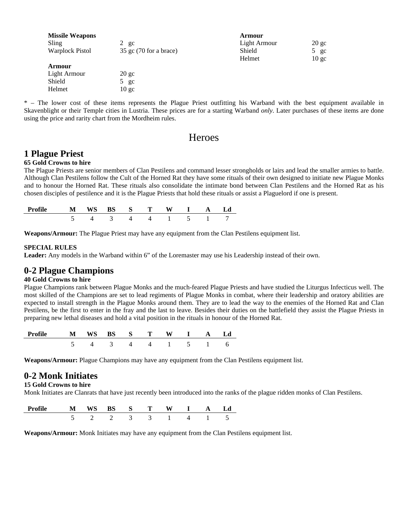| <b>Missile Weapons</b> |                            | Armour       |                  |
|------------------------|----------------------------|--------------|------------------|
| Sling                  | 2 $\,$ gc                  | Light Armour | $20$ gc          |
| <b>Warplock Pistol</b> | $35$ gc $(70$ for a brace) | Shield       | $5$ gc           |
|                        |                            | Helmet       | 10 <sub>gc</sub> |
| Armour                 |                            |              |                  |
| Light Armour           | $20 \text{ gc}$            |              |                  |
| Shield                 | 5.<br>gc                   |              |                  |
| Helmet                 | $10 \text{ gc}$            |              |                  |

\* – The lower cost of these items represents the Plague Priest outfitting his Warband with the best equipment available in Skavenblight or their Temple cities in Lustria. These prices are for a starting Warband *only*. Later purchases of these items are done using the price and rarity chart from the Mordheim rules.

## **Heroes**

## **1 Plague Priest**

#### **65 Gold Crowns to hire**

The Plague Priests are senior members of Clan Pestilens and command lesser strongholds or lairs and lead the smaller armies to battle. Although Clan Pestilens follow the Cult of the Horned Rat they have some rituals of their own designed to initiate new Plague Monks and to honour the Horned Rat. These rituals also consolidate the intimate bond between Clan Pestilens and the Horned Rat as his chosen disciples of pestilence and it is the Plague Priests that hold these rituals or assist a Plaguelord if one is present.

| Profile | ws | S. | Т |  | J.G |
|---------|----|----|---|--|-----|
|         |    |    |   |  |     |

**Weapons/Armour:** The Plague Priest may have any equipment from the Clan Pestilens equipment list.

#### **SPECIAL RULES**

**Leader:** Any models in the Warband within 6" of the Loremaster may use his Leadership instead of their own.

#### **0-2 Plague Champions**

#### **40 Gold Crowns to hire**

Plague Champions rank between Plague Monks and the much-feared Plague Priests and have studied the Liturgus Infecticus well. The most skilled of the Champions are set to lead regiments of Plague Monks in combat, where their leadership and oratory abilities are expected to install strength in the Plague Monks around them. They are to lead the way to the enemies of the Horned Rat and Clan Pestilens, be the first to enter in the fray and the last to leave. Besides their duties on the battlefield they assist the Plague Priests in preparing new lethal diseases and hold a vital position in the rituals in honour of the Horned Rat.

| Profile | ----<br>N |  | m |  |  |
|---------|-----------|--|---|--|--|
|         |           |  |   |  |  |

**Weapons/Armour:** Plague Champions may have any equipment from the Clan Pestilens equipment list.

#### **0-2 Monk Initiates**

**15 Gold Crowns to hire**

Monk Initiates are Clanrats that have just recently been introduced into the ranks of the plague ridden monks of Clan Pestilens.

| Profile | M | WC<br>N |                     | $S$ T    | w |  | Ld |
|---------|---|---------|---------------------|----------|---|--|----|
|         |   |         | $\sim$ 3.000 $\sim$ | $\sim$ 3 |   |  |    |

**Weapons/Armour:** Monk Initiates may have any equipment from the Clan Pestilens equipment list.